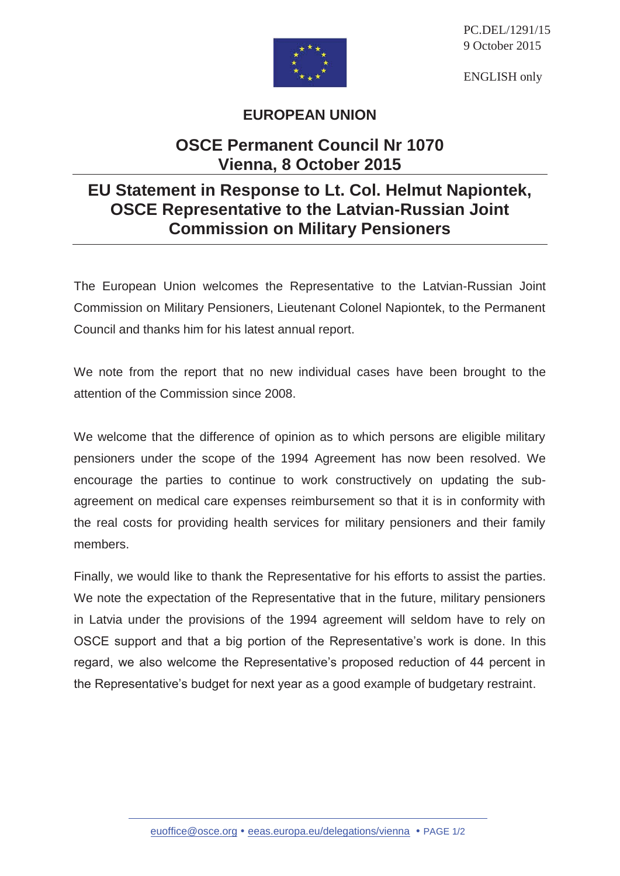

PC.DEL/1291/15 9 October 2015

ENGLISH only

## **EUROPEAN UNION**

## **OSCE Permanent Council Nr 1070 Vienna, 8 October 2015**

## **EU Statement in Response to Lt. Col. Helmut Napiontek, OSCE Representative to the Latvian-Russian Joint Commission on Military Pensioners**

The European Union welcomes the Representative to the Latvian-Russian Joint Commission on Military Pensioners, Lieutenant Colonel Napiontek, to the Permanent Council and thanks him for his latest annual report.

We note from the report that no new individual cases have been brought to the attention of the Commission since 2008.

We welcome that the difference of opinion as to which persons are eligible military pensioners under the scope of the 1994 Agreement has now been resolved. We encourage the parties to continue to work constructively on updating the subagreement on medical care expenses reimbursement so that it is in conformity with the real costs for providing health services for military pensioners and their family members.

Finally, we would like to thank the Representative for his efforts to assist the parties. We note the expectation of the Representative that in the future, military pensioners in Latvia under the provisions of the 1994 agreement will seldom have to rely on OSCE support and that a big portion of the Representative's work is done. In this regard, we also welcome the Representative's proposed reduction of 44 percent in the Representative's budget for next year as a good example of budgetary restraint.